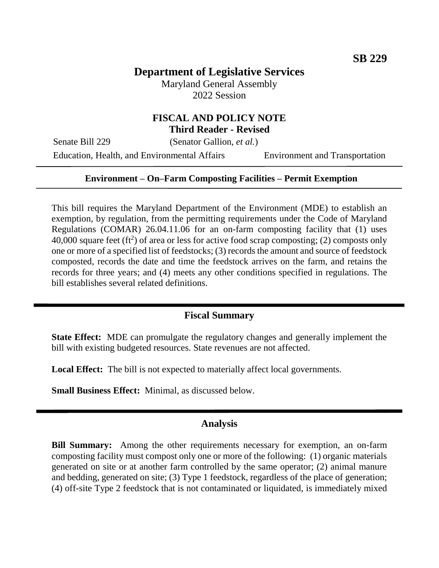# **Department of Legislative Services**

Maryland General Assembly 2022 Session

### **FISCAL AND POLICY NOTE Third Reader - Revised**

Senate Bill 229 (Senator Gallion, *et al.*)

Education, Health, and Environmental Affairs Environment and Transportation

#### **Environment – On–Farm Composting Facilities – Permit Exemption**

This bill requires the Maryland Department of the Environment (MDE) to establish an exemption, by regulation, from the permitting requirements under the Code of Maryland Regulations (COMAR) 26.04.11.06 for an on-farm composting facility that (1) uses 40,000 square feet  $(ft^2)$  of area or less for active food scrap composting; (2) composts only one or more of a specified list of feedstocks; (3) records the amount and source of feedstock composted, records the date and time the feedstock arrives on the farm, and retains the records for three years; and (4) meets any other conditions specified in regulations. The bill establishes several related definitions.

## **Fiscal Summary**

**State Effect:** MDE can promulgate the regulatory changes and generally implement the bill with existing budgeted resources. State revenues are not affected.

**Local Effect:** The bill is not expected to materially affect local governments.

**Small Business Effect:** Minimal, as discussed below.

#### **Analysis**

**Bill Summary:** Among the other requirements necessary for exemption, an on-farm composting facility must compost only one or more of the following: (1) organic materials generated on site or at another farm controlled by the same operator; (2) animal manure and bedding, generated on site; (3) Type 1 feedstock, regardless of the place of generation; (4) off-site Type 2 feedstock that is not contaminated or liquidated, is immediately mixed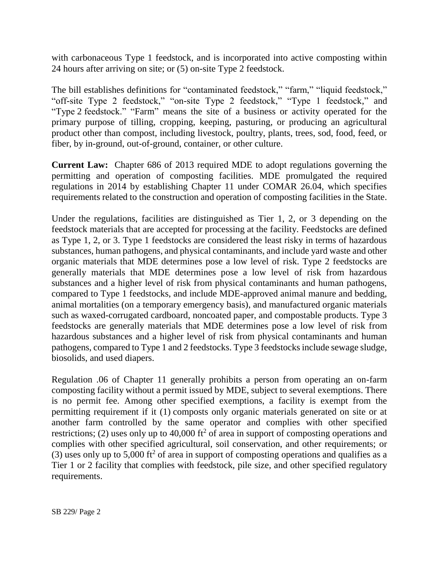with carbonaceous Type 1 feedstock, and is incorporated into active composting within 24 hours after arriving on site; or (5) on-site Type 2 feedstock.

The bill establishes definitions for "contaminated feedstock," "farm," "liquid feedstock," "off-site Type 2 feedstock," "on-site Type 2 feedstock," "Type 1 feedstock," and "Type 2 feedstock." "Farm" means the site of a business or activity operated for the primary purpose of tilling, cropping, keeping, pasturing, or producing an agricultural product other than compost, including livestock, poultry, plants, trees, sod, food, feed, or fiber, by in-ground, out-of-ground, container, or other culture.

**Current Law:** Chapter 686 of 2013 required MDE to adopt regulations governing the permitting and operation of composting facilities. MDE promulgated the required regulations in 2014 by establishing Chapter 11 under COMAR 26.04, which specifies requirements related to the construction and operation of composting facilities in the State.

Under the regulations, facilities are distinguished as Tier 1, 2, or 3 depending on the feedstock materials that are accepted for processing at the facility. Feedstocks are defined as Type 1, 2, or 3. Type 1 feedstocks are considered the least risky in terms of hazardous substances, human pathogens, and physical contaminants, and include yard waste and other organic materials that MDE determines pose a low level of risk. Type 2 feedstocks are generally materials that MDE determines pose a low level of risk from hazardous substances and a higher level of risk from physical contaminants and human pathogens, compared to Type 1 feedstocks, and include MDE-approved animal manure and bedding, animal mortalities (on a temporary emergency basis), and manufactured organic materials such as waxed-corrugated cardboard, noncoated paper, and compostable products. Type 3 feedstocks are generally materials that MDE determines pose a low level of risk from hazardous substances and a higher level of risk from physical contaminants and human pathogens, compared to Type 1 and 2 feedstocks. Type 3 feedstocks include sewage sludge, biosolids, and used diapers.

Regulation .06 of Chapter 11 generally prohibits a person from operating an on-farm composting facility without a permit issued by MDE, subject to several exemptions. There is no permit fee. Among other specified exemptions, a facility is exempt from the permitting requirement if it (1) composts only organic materials generated on site or at another farm controlled by the same operator and complies with other specified restrictions; (2) uses only up to 40,000 ft<sup>2</sup> of area in support of composting operations and complies with other specified agricultural, soil conservation, and other requirements; or (3) uses only up to 5,000 ft<sup>2</sup> of area in support of composting operations and qualifies as a Tier 1 or 2 facility that complies with feedstock, pile size, and other specified regulatory requirements.